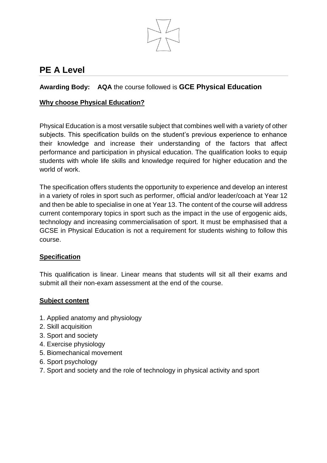

# **PE A Level**

# **Awarding Body: AQA** the course followed is **GCE Physical Education**

## **Why choose Physical Education?**

Physical Education is a most versatile subject that combines well with a variety of other subjects. This specification builds on the student's previous experience to enhance their knowledge and increase their understanding of the factors that affect performance and participation in physical education. The qualification looks to equip students with whole life skills and knowledge required for higher education and the world of work.

The specification offers students the opportunity to experience and develop an interest in a variety of roles in sport such as performer, official and/or leader/coach at Year 12 and then be able to specialise in one at Year 13. The content of the course will address current contemporary topics in sport such as the impact in the use of ergogenic aids, technology and increasing commercialisation of sport. It must be emphasised that a GCSE in Physical Education is not a requirement for students wishing to follow this course.

#### **Specification**

This qualification is linear. Linear means that students will sit all their exams and submit all their non-exam assessment at the end of the course.

#### **Subject content**

- 1. Applied anatomy and physiology
- 2. Skill acquisition
- 3. Sport and society
- 4. Exercise physiology
- 5. Biomechanical movement
- 6. Sport psychology
- 7. Sport and society and the role of technology in physical activity and sport